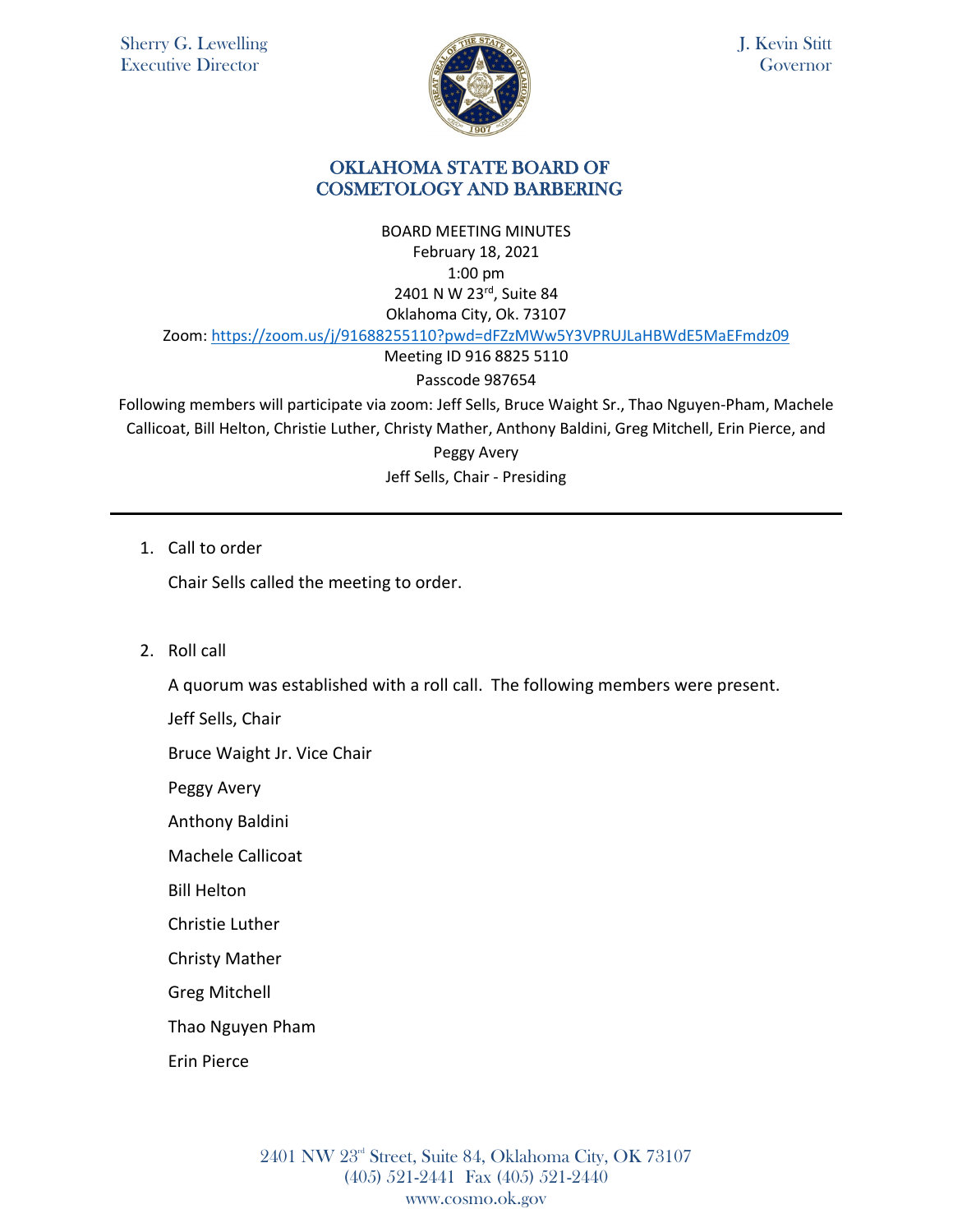

J. Kevin Stitt Governor

### OKLAHOMA STATE BOARD OF COSMETOLOGY AND BARBERING

BOARD MEETING MINUTES February 18, 2021 1:00 pm 2401 N W 23rd, Suite 84 Oklahoma City, Ok. 73107 Zoom: <https://zoom.us/j/91688255110?pwd=dFZzMWw5Y3VPRUJLaHBWdE5MaEFmdz09>

Meeting ID 916 8825 5110

# Passcode 987654

Following members will participate via zoom: Jeff Sells, Bruce Waight Sr., Thao Nguyen-Pham, Machele Callicoat, Bill Helton, Christie Luther, Christy Mather, Anthony Baldini, Greg Mitchell, Erin Pierce, and

> Peggy Avery Jeff Sells, Chair - Presiding

1. Call to order

Chair Sells called the meeting to order.

2. Roll call

A quorum was established with a roll call. The following members were present.

Jeff Sells, Chair

Bruce Waight Jr. Vice Chair

Peggy Avery

Anthony Baldini

Machele Callicoat

Bill Helton

Christie Luther

Christy Mather

Greg Mitchell

Thao Nguyen Pham

Erin Pierce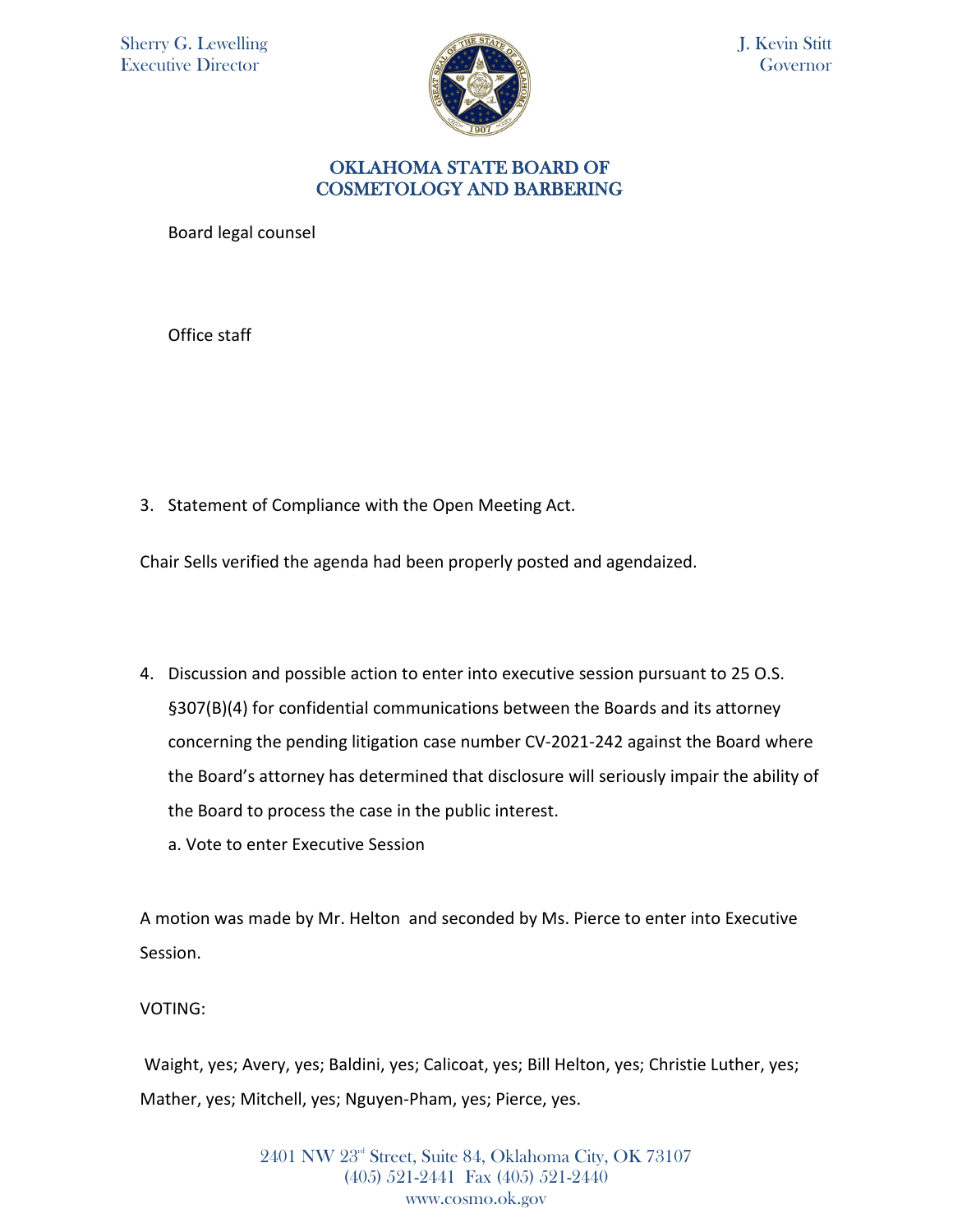

J. Kevin Stitt Governor

### OKLAHOMA STATE BOARD OF COSMETOLOGY AND BARBERING

Board legal counsel

Office staff

3. Statement of Compliance with the Open Meeting Act.

Chair Sells verified the agenda had been properly posted and agendaized.

- 4. Discussion and possible action to enter into executive session pursuant to 25 O.S. §307(B)(4) for confidential communications between the Boards and its attorney concerning the pending litigation case number CV-2021-242 against the Board where the Board's attorney has determined that disclosure will seriously impair the ability of the Board to process the case in the public interest.
	- a. Vote to enter Executive Session

A motion was made by Mr. Helton and seconded by Ms. Pierce to enter into Executive Session.

VOTING:

Waight, yes; Avery, yes; Baldini, yes; Calicoat, yes; Bill Helton, yes; Christie Luther, yes; Mather, yes; Mitchell, yes; Nguyen-Pham, yes; Pierce, yes.

> 2401 NW 23rd Street, Suite 84, Oklahoma City, OK 73107 (405) 521-2441 Fax (405) 521-2440 www.cosmo.ok.gov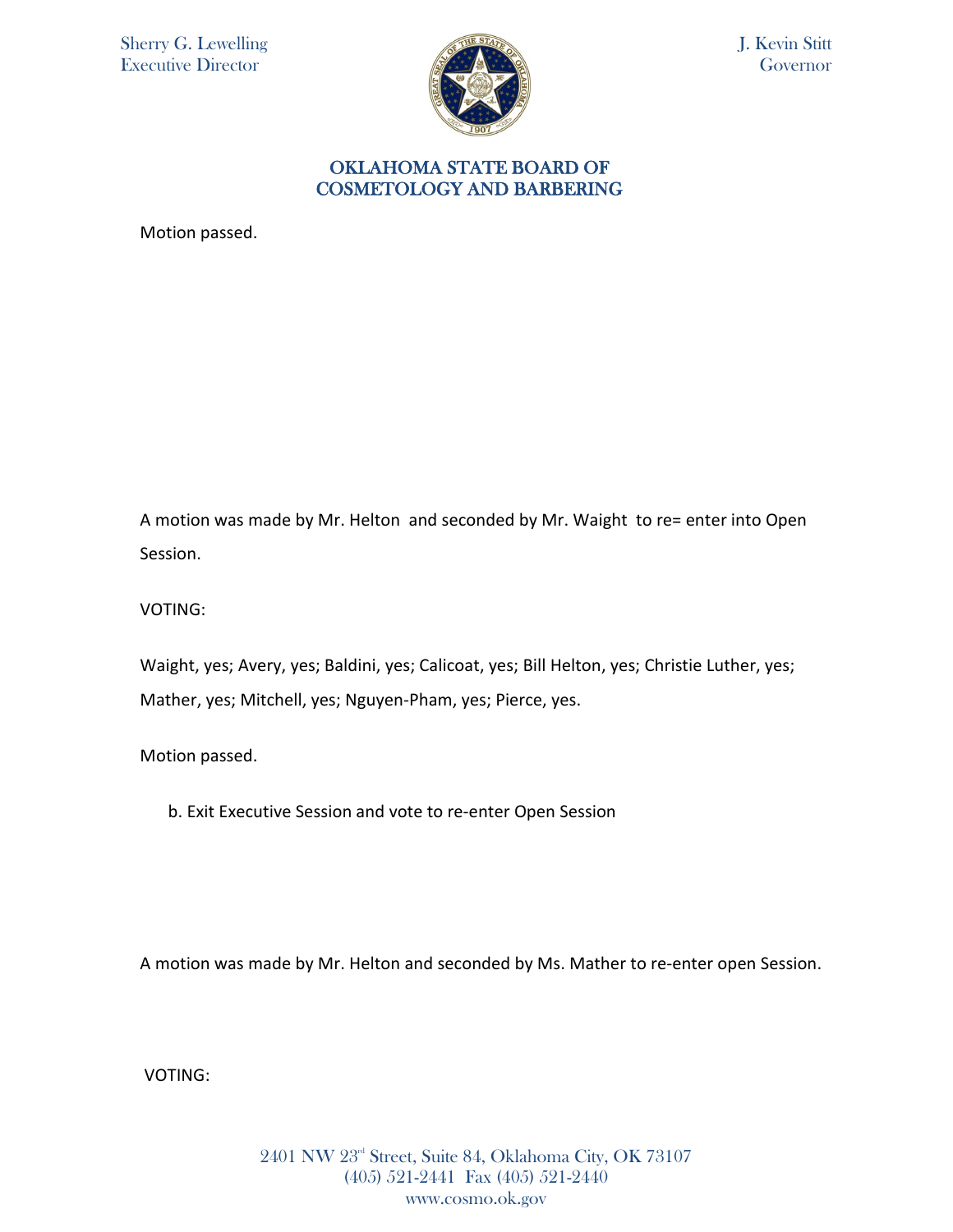Sherry G. Lewelling Executive Director



J. Kevin Stitt Governor

#### OKLAHOMA STATE BOARD OF COSMETOLOGY AND BARBERING

Motion passed.

A motion was made by Mr. Helton and seconded by Mr. Waight to re= enter into Open Session.

VOTING:

Waight, yes; Avery, yes; Baldini, yes; Calicoat, yes; Bill Helton, yes; Christie Luther, yes; Mather, yes; Mitchell, yes; Nguyen-Pham, yes; Pierce, yes.

Motion passed.

b. Exit Executive Session and vote to re-enter Open Session

A motion was made by Mr. Helton and seconded by Ms. Mather to re-enter open Session.

VOTING: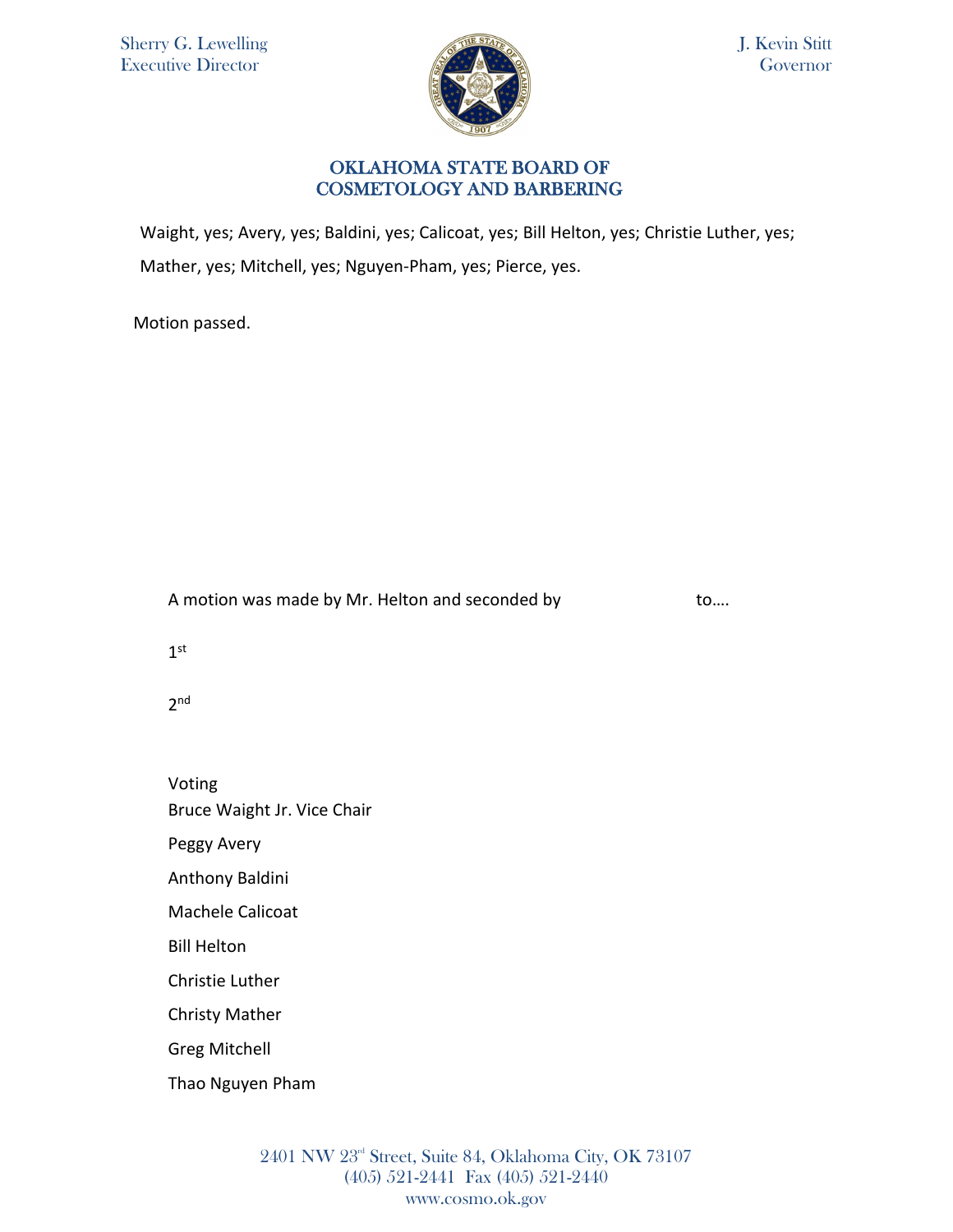

J. Kevin Stitt Governor

### OKLAHOMA STATE BOARD OF COSMETOLOGY AND BARBERING

Waight, yes; Avery, yes; Baldini, yes; Calicoat, yes; Bill Helton, yes; Christie Luther, yes; Mather, yes; Mitchell, yes; Nguyen-Pham, yes; Pierce, yes.

Motion passed.

A motion was made by Mr. Helton and seconded by to....

1st

 $2<sub>nd</sub>$ 

Voting Bruce Waight Jr. Vice Chair

Peggy Avery

Anthony Baldini

Machele Calicoat

Bill Helton

Christie Luther

Christy Mather

Greg Mitchell

Thao Nguyen Pham